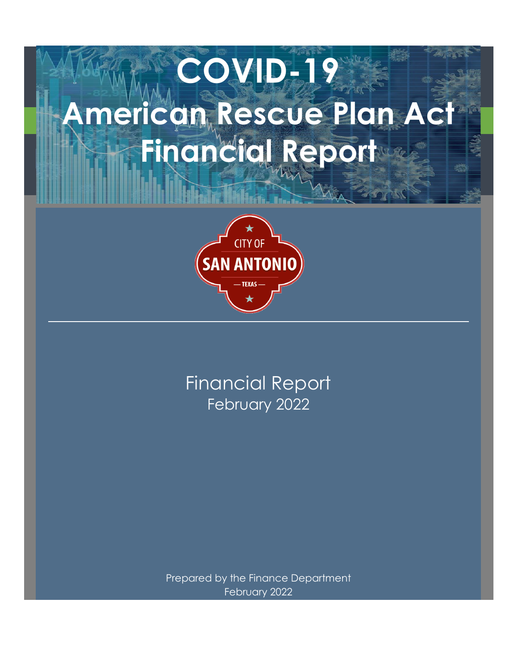# **COVID-19 American Rescue Plan Act Financial Report**



February 2022 Financial Report

Prepared by the Finance Department February 2022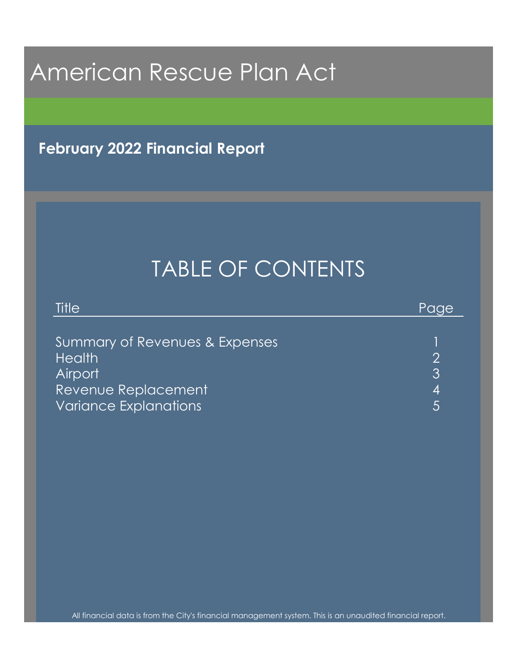**February 2022 Financial Report**

# TABLE OF CONTENTS

| Title                          | 'Paae, |
|--------------------------------|--------|
|                                |        |
| Summary of Revenues & Expenses |        |
| <b>Health</b>                  |        |
| <b>Airport</b>                 | 3      |
| Revenue Replacement            | 4      |
| <b>Variance Explanations</b>   |        |

All financial data is from the City's financial management system. This is an unaudited financial report.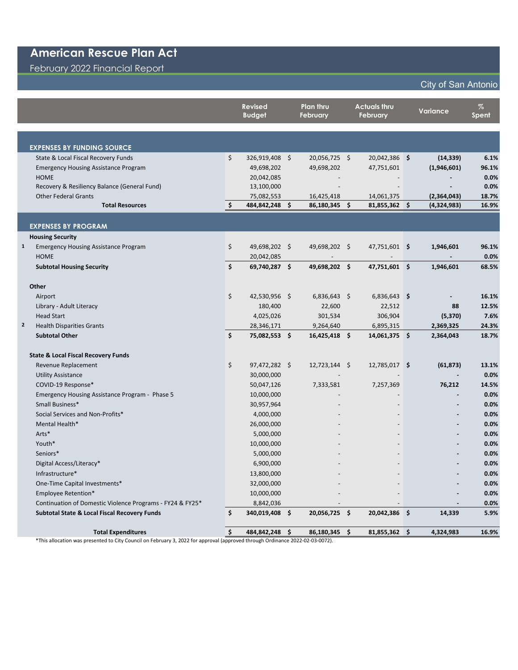#### February 2022 Financial Report

#### City of San Antonio

|              |                                                           |    | <b>Revised</b><br><b>Budget</b> |      | Plan thru<br><b>February</b> | <b>Actuals thru</b><br><b>February</b> |                |     | Variance    | $\%$<br>Spent |  |
|--------------|-----------------------------------------------------------|----|---------------------------------|------|------------------------------|----------------------------------------|----------------|-----|-------------|---------------|--|
|              |                                                           |    |                                 |      |                              |                                        |                |     |             |               |  |
|              | <b>EXPENSES BY FUNDING SOURCE</b>                         |    |                                 |      |                              |                                        |                |     |             |               |  |
|              | State & Local Fiscal Recovery Funds                       | \$ | 326,919,408 \$                  |      | 20,056,725 \$                |                                        | 20,042,386 \$  |     | (14, 339)   | 6.1%          |  |
|              | <b>Emergency Housing Assistance Program</b>               |    | 49,698,202                      |      | 49,698,202                   |                                        | 47,751,601     |     | (1,946,601) | 96.1%         |  |
|              | <b>HOME</b>                                               |    | 20,042,085                      |      |                              |                                        |                |     |             | 0.0%          |  |
|              | Recovery & Resiliency Balance (General Fund)              |    | 13,100,000                      |      |                              |                                        |                |     |             | 0.0%          |  |
|              | <b>Other Federal Grants</b>                               |    | 75,082,553                      |      | 16,425,418                   |                                        | 14,061,375     |     | (2,364,043) | 18.7%         |  |
|              | <b>Total Resources</b>                                    | \$ | 484,842,248                     | \$   | 86,180,345                   | \$.                                    | 81,855,362     | \$. | (4,324,983) | 16.9%         |  |
|              | <b>EXPENSES BY PROGRAM</b>                                |    |                                 |      |                              |                                        |                |     |             |               |  |
|              | <b>Housing Security</b>                                   |    |                                 |      |                              |                                        |                |     |             |               |  |
| $\mathbf{1}$ | <b>Emergency Housing Assistance Program</b>               | \$ | 49,698,202 \$                   |      | 49,698,202 \$                |                                        | 47,751,601 \$  |     | 1,946,601   | 96.1%         |  |
|              | <b>HOME</b>                                               |    | 20,042,085                      |      |                              |                                        |                |     |             | 0.0%          |  |
|              | <b>Subtotal Housing Security</b>                          | \$ | 69,740,287 \$                   |      | 49,698,202 \$                |                                        | 47,751,601 \$  |     | 1,946,601   | 68.5%         |  |
|              |                                                           |    |                                 |      |                              |                                        |                |     |             |               |  |
|              | Other                                                     |    |                                 |      |                              |                                        |                |     |             |               |  |
|              | Airport                                                   | \$ | 42,530,956 \$                   |      | $6,836,643$ \$               |                                        | $6,836,643$ \$ |     |             | 16.1%         |  |
|              | Library - Adult Literacy                                  |    | 180,400                         |      | 22,600                       |                                        | 22,512         |     | 88          | 12.5%         |  |
|              | <b>Head Start</b>                                         |    | 4,025,026                       |      | 301,534                      |                                        | 306,904        |     | (5, 370)    | 7.6%          |  |
| $\mathbf{2}$ | <b>Health Disparities Grants</b>                          |    | 28,346,171                      |      | 9,264,640                    |                                        | 6,895,315      |     | 2,369,325   | 24.3%         |  |
|              | <b>Subtotal Other</b>                                     | Ś. | 75,082,553 \$                   |      | 16,425,418 \$                |                                        | 14,061,375 \$  |     | 2,364,043   | 18.7%         |  |
|              |                                                           |    |                                 |      |                              |                                        |                |     |             |               |  |
|              | <b>State &amp; Local Fiscal Recovery Funds</b>            |    |                                 |      |                              |                                        |                |     |             | 13.1%         |  |
|              | Revenue Replacement<br><b>Utility Assistance</b>          | \$ | 97,472,282 \$<br>30,000,000     |      | $12,723,144$ \$              |                                        | 12,785,017 \$  |     | (61, 873)   | 0.0%          |  |
|              | COVID-19 Response*                                        |    | 50,047,126                      |      | 7,333,581                    |                                        | 7,257,369      |     | 76,212      | 14.5%         |  |
|              | Emergency Housing Assistance Program - Phase 5            |    | 10,000,000                      |      |                              |                                        |                |     |             | 0.0%          |  |
|              | Small Business*                                           |    | 30,957,964                      |      |                              |                                        |                |     |             | 0.0%          |  |
|              | Social Services and Non-Profits*                          |    | 4,000,000                       |      |                              |                                        |                |     |             | 0.0%          |  |
|              | Mental Health*                                            |    | 26,000,000                      |      |                              |                                        |                |     |             | 0.0%          |  |
|              | Arts*                                                     |    | 5,000,000                       |      |                              |                                        |                |     |             | 0.0%          |  |
|              | Youth*                                                    |    | 10,000,000                      |      |                              |                                        |                |     |             | 0.0%          |  |
|              | Seniors*                                                  |    | 5,000,000                       |      |                              |                                        |                |     |             | 0.0%          |  |
|              | Digital Access/Literacy*                                  |    | 6,900,000                       |      |                              |                                        |                |     |             | 0.0%          |  |
|              | Infrastructure*                                           |    | 13,800,000                      |      |                              |                                        |                |     |             | 0.0%          |  |
|              | One-Time Capital Investments*                             |    | 32,000,000                      |      |                              |                                        |                |     |             | 0.0%          |  |
|              | Employee Retention*                                       |    | 10,000,000                      |      |                              |                                        |                |     |             | 0.0%          |  |
|              | Continuation of Domestic Violence Programs - FY24 & FY25* |    | 8,842,036                       |      |                              |                                        |                |     |             | 0.0%          |  |
|              | <b>Subtotal State &amp; Local Fiscal Recovery Funds</b>   | \$ | 340,019,408 \$                  |      | 20,056,725 \$                |                                        | 20,042,386 \$  |     | 14,339      | 5.9%          |  |
|              | <b>Total Expenditures</b>                                 | \$ | 484,842,248                     | - \$ | 86,180,345                   | \$                                     | 81,855,362     | \$  | 4,324,983   | 16.9%         |  |
|              |                                                           |    |                                 |      |                              |                                        |                |     |             |               |  |

\*This allocation was presented to City Council on February 3, 2022 for approval (approved through Ordinance 2022-02-03-0072).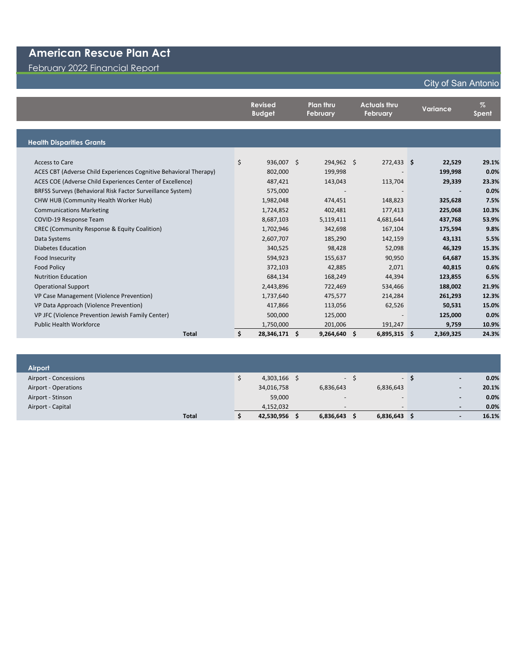February 2022 Financial Report

#### **Revised Budget Plan thru February Actuals thru February Variance % Spent Health Disparities Grants** Access to Care \$ 936,007 \$ 294,962 \$ 272,433 **\$ 22,529 29.1%** ACES CBT (Adverse Child Experiences Cognitive Behavioral Therapy) 802,000 199,998 - **199,998 0.0%** ACES COE (Adverse Child Experiences Center of Excellence) 487,421 143,043 113,704 **29,339 23.3%** BRFSS Surveys (Behavioral Risk Factor Surveillance System) 575,000 - - **- 0.0%** CHW HUB (Community Health Worker Hub) 1,982,048 474,451 148,823 **325,628 7.5%** Communications Marketing 1,724,852 402,481 177,413 **225,068 10.3%** COVID-19 Response Team 8,687,103 5,119,411 4,681,644 **437,768 53.9%** CREC (Community Response & Equity Coalition) 1,702,946 342,698 167,104 **175,594 9.8%** Data Systems 2,607,707 185,290 142,159 **43,131 5.5%** Diabetes Education 340,525 98,428 52,098 **46,329 15.3%** Food Insecurity 594,923 155,637 90,950 **64,687 15.3%** Food Policy 372,103 42,885 2,071 **40,815 0.6%** Nutrition Education 684,134 168,249 44,394 **123,855 6.5%** Operational Support 2,443,896 722,469 534,466 **188,002 21.9%** VP Case Management (Violence Prevention) 1,737,640 475,577 214,284 **261,293 12.3%** VP Data Approach (Violence Prevention) 417,866 113,056 62,526 **50,531 15.0%** VP JFC (Violence Prevention Jewish Family Center) 500,000 125,000 - **125,000 0.0%** Public Health Workforce 1,750,000 201,006 191,247 **9,759 10.9% Total \$ 28,346,171 \$ 9,264,640 \$ 6,895,315 \$ 2,369,325 24.3%**

| Airport               |       |            |                          |     |                          |     |                          |       |
|-----------------------|-------|------------|--------------------------|-----|--------------------------|-----|--------------------------|-------|
| Airport - Concessions |       | 4,303,166  |                          | - 5 |                          | - 5 | $\blacksquare$           | 0.0%  |
| Airport - Operations  |       | 34,016,758 | 6,836,643                |     | 6,836,643                |     | $\blacksquare$           | 20.1% |
| Airport - Stinson     |       | 59,000     | $\overline{\phantom{a}}$ |     | $\overline{\phantom{0}}$ |     | $\overline{\phantom{a}}$ | 0.0%  |
| Airport - Capital     |       | 4,152,032  | $\overline{\phantom{a}}$ |     | $\overline{\phantom{0}}$ |     | $\sim$                   | 0.0%  |
|                       | Total | 42,530,956 | 6,836,643                |     | $6,836,643$ \$           |     | $\overline{\phantom{a}}$ | 16.1% |

#### City of San Antonio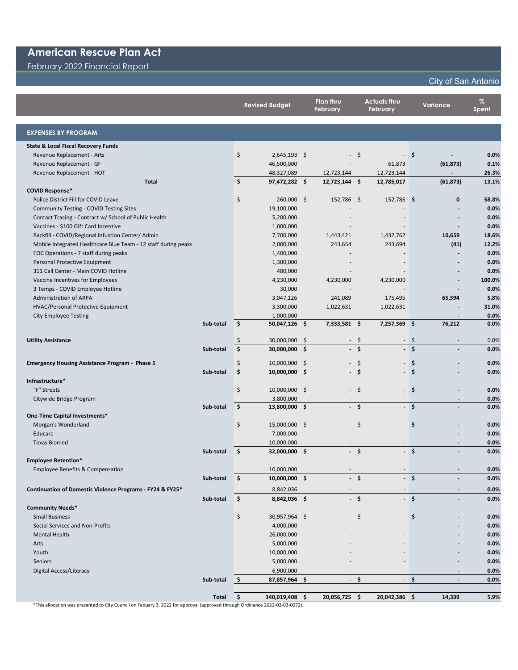February 2022 Financial Report

#### City of San Antonio

|                                                                |                   | <b>Revised Budget</b> | Plan thru<br>February |                          | <b>Actuals thru</b><br>February |               |      | <b>Variance</b>          | $\%$<br>Spent |
|----------------------------------------------------------------|-------------------|-----------------------|-----------------------|--------------------------|---------------------------------|---------------|------|--------------------------|---------------|
| <b>EXPENSES BY PROGRAM</b>                                     |                   |                       |                       |                          |                                 |               |      |                          |               |
| <b>State &amp; Local Fiscal Recovery Funds</b>                 |                   |                       |                       |                          |                                 |               |      |                          |               |
| Revenue Replacement - Arts                                     | \$                | $2,645,193$ \$        |                       | $\overline{\phantom{a}}$ | $\mathsf{S}$                    |               | - \$ |                          | 0.0%          |
| Revenue Replacement - GF                                       |                   | 46,500,000            |                       |                          |                                 | 61,873        |      | (61, 873)                | 0.1%          |
| Revenue Replacement - HOT                                      |                   | 48,327,089            |                       | 12,723,144               |                                 | 12,723,144    |      | $\overline{\phantom{a}}$ | 26.3%         |
| <b>Total</b>                                                   | \$                | 97,472,282 \$         |                       | 12,723,144 \$            |                                 | 12,785,017    |      | (61, 873)                | 13.1%         |
| <b>COVID Response*</b>                                         |                   |                       |                       |                          |                                 |               |      |                          |               |
| Police District Fill for COVID Leave                           | \$                | 260,000 \$            |                       | 152,786 \$               |                                 | 152,786 \$    |      | 0                        | 58.8%         |
| <b>Community Testing - COVID Testing Sites</b>                 |                   | 19,100,000            |                       |                          |                                 |               |      |                          | 0.0%          |
| Contact Tracing - Contract w/ School of Public Health          |                   | 5,200,000             |                       |                          |                                 |               |      |                          | 0.0%          |
| Vaccines - \$100 Gift Card Incentive                           |                   | 1,000,000             |                       |                          |                                 |               |      |                          | 0.0%          |
| Backfill - COVID/Regional Infustion Center/ Admin              |                   | 7,700,000             |                       | 1,443,421                |                                 | 1,432,762     |      | 10,659                   | 18.6%         |
| Mobile Integrated Healthcare Blue Team - 12 staff during peaks |                   | 2,000,000             |                       | 243,654                  |                                 | 243,694       |      | (41)                     | 12.2%         |
| EOC Operations - 7 staff during peaks                          |                   | 1,400,000             |                       |                          |                                 |               |      |                          | 0.0%          |
| Personal Protective Equipment                                  |                   | 1,300,000             |                       |                          |                                 |               |      |                          | 0.0%          |
| 311 Call Center - Main COVID Hotline                           |                   | 480,000               |                       |                          |                                 |               |      |                          | 0.0%          |
| Vaccine Incentives for Employees                               |                   | 4,230,000             |                       | 4,230,000                |                                 | 4,230,000     |      |                          | 100.0%        |
| 3 Temps - COVID Employee Hotline                               |                   | 30,000                |                       |                          |                                 |               |      |                          | 0.0%          |
| <b>Administration of ARPA</b>                                  |                   | 3,047,126             |                       | 241,089                  |                                 | 175,495       |      | 65,594                   | 5.8%          |
| HVAC/Personal Protective Equipment                             |                   | 3,300,000             |                       | 1,022,631                |                                 | 1,022,631     |      |                          | 31.0%         |
| <b>City Employee Testing</b>                                   |                   | 1,000,000             |                       |                          |                                 |               |      |                          | 0.0%          |
| Sub-total                                                      | \$                | 50,047,126 \$         |                       | 7,333,581 \$             |                                 | 7,257,369 \$  |      | 76,212                   | 0.0%          |
|                                                                |                   |                       |                       |                          |                                 |               |      |                          |               |
| <b>Utility Assistance</b>                                      | S                 | 30,000,000            | \$                    |                          | -\$                             |               | -\$  | $\sim$                   | 0.0%          |
| Sub-total                                                      | Ś                 | 30,000,000 \$         |                       |                          | \$                              |               | - \$ |                          | 0.0%          |
| <b>Emergency Housing Assistance Program - Phase 5</b>          |                   | 10,000,000            | S.                    |                          | S                               |               | - \$ | $\overline{\phantom{0}}$ | 0.0%          |
| Sub-total                                                      | Ś.                | 10,000,000 \$         |                       |                          | $\dot{\mathsf{s}}$              |               | $-5$ |                          | 0.0%          |
| Infrastructure*                                                |                   |                       |                       |                          |                                 |               |      |                          |               |
| "F" Streets                                                    | \$                | 10,000,000 \$         |                       |                          | $-5$                            |               | - \$ |                          | 0.0%          |
| Citywide Bridge Program                                        |                   | 3,800,000             |                       |                          |                                 |               |      |                          | 0.0%          |
| Sub-total                                                      | \$                | 13,800,000 \$         |                       |                          | - \$                            |               | - \$ | $\overline{a}$           | 0.0%          |
| One-Time Capital Investments*                                  |                   |                       |                       |                          |                                 |               |      |                          |               |
| Morgan's Wonderland                                            | \$                | 15,000,000 \$         |                       |                          | $-5$                            |               | - \$ |                          | 0.0%          |
| Educare                                                        |                   | 7,000,000             |                       |                          |                                 |               |      |                          | 0.0%          |
| <b>Texas Biomed</b>                                            |                   | 10,000,000            |                       |                          |                                 |               |      |                          | 0.0%          |
| Sub-total                                                      | \$                | 32,000,000 \$         |                       |                          | $-$ \$                          |               | - \$ |                          | 0.0%          |
| <b>Employee Retention*</b>                                     |                   |                       |                       |                          |                                 |               |      |                          |               |
| Employee Benefits & Compensation                               |                   | 10,000,000            |                       |                          |                                 |               |      |                          | 0.0%          |
| Sub-total                                                      | \$                | $10,000,000$ \$       |                       |                          | - \$                            |               | -\$  |                          | 0.0%          |
| Continuation of Domestic Violence Programs - FY24 & FY25*      |                   | 8,842,036             |                       |                          |                                 |               |      |                          | 0.0%          |
| Sub-total                                                      | \$                | 8,842,036 \$          |                       |                          | - \$                            |               | -\$  |                          | 0.0%          |
| <b>Community Needs*</b>                                        |                   |                       |                       |                          |                                 |               |      |                          |               |
| <b>Small Business</b>                                          | \$                | 30,957,964 \$         |                       |                          | \$                              |               | - \$ |                          | 0.0%          |
| Social Services and Non-Profits                                |                   | 4,000,000             |                       |                          |                                 |               |      |                          | 0.0%          |
| <b>Mental Health</b>                                           |                   | 26,000,000            |                       |                          |                                 |               |      |                          | 0.0%          |
| Arts                                                           |                   | 5,000,000             |                       |                          |                                 |               |      |                          | 0.0%          |
| Youth                                                          |                   | 10,000,000            |                       |                          |                                 |               |      |                          | 0.0%          |
| Seniors                                                        |                   | 5,000,000             |                       |                          |                                 |               |      |                          | 0.0%          |
| <b>Digital Access/Literacy</b>                                 |                   | 6,900,000             |                       |                          |                                 |               |      | $\overline{a}$           | 0.0%          |
| Sub-total                                                      | -\$               | 87,857,964 \$         |                       | $\blacksquare$           | \$                              |               | - \$ | $\overline{a}$           | 0.0%          |
|                                                                |                   |                       |                       |                          |                                 |               |      |                          |               |
|                                                                | 5<br><b>Total</b> | 340,019,408 \$        |                       | 20,056,725 \$            |                                 | 20,042,386 \$ |      | 14,339                   | 5.9%          |

\*This allocation was presented to City Council on Febuary 3, 2022 for approval (approved through Ordinance 2022-02-03-0072).